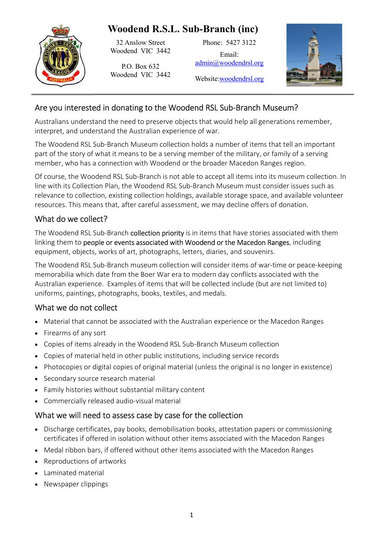

32 Anslow Street Woodend VIC 3442

P.O. Box 632 Woodend VIC 3442 Phone: 5427 3122

Email: admin@woodendrsl.org



Website:woodendrsl.org

# Are you interested in donating to the Woodend RSL Sub-Branch Museum?

Australians understand the need to preserve objects that would help all generations remember, interpret, and understand the Australian experience of war.

The Woodend RSL Sub-Branch Museum collection holds a number of items that tell an important part of the story of what it means to be a serving member of the military, or family of a serving member, who has a connection with Woodend or the broader Macedon Ranges region.

Of course, the Woodend RSL Sub-Branch is not able to accept all items into its museum collection. In line with its Collection Plan, the Woodend RSL Sub-Branch Museum must consider issues such as relevance to collection, existing collection holdings, available storage space, and available volunteer resources. This means that, after careful assessment, we may decline offers of donation.

## What do we collect?

The Woodend RSL Sub-Branch collection priority is in items that have stories associated with them linking them to people or events associated with Woodend or the Macedon Ranges, including equipment, objects, works of art, photographs, letters, diaries, and souvenirs.

The Woodend RSL Sub-Branch museum collection will consider items of war-time or peace-keeping memorabilia which date from the Boer War era to modern day conflicts associated with the Australian experience. Examples of items that will be collected include (but are not limited to) uniforms, paintings, photographs, books, textiles, and medals.

## What we do not collect

- Material that cannot be associated with the Australian experience or the Macedon Ranges
- Firearms of any sort
- Copies of items already in the Woodend RSL Sub-Branch Museum collection
- Copies of material held in other public institutions, including service records
- Photocopies or digital copies of original material (unless the original is no longer in existence)
- Secondary source research material
- Family histories without substantial military content
- Commercially released audio-visual material

### What we will need to assess case by case for the collection

- Discharge certificates, pay books, demobilisation books, attestation papers or commissioning certificates if offered in isolation without other items associated with the Macedon Ranges
- Medal ribbon bars, if offered without other items associated with the Macedon Ranges
- Reproductions of artworks
- Laminated material
- Newspaper clippings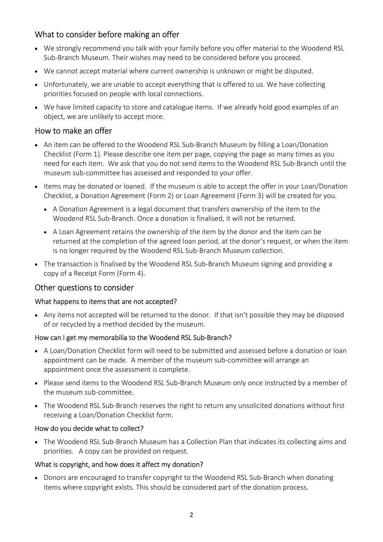## What to consider before making an offer

- We strongly recommend you talk with your family before you offer material to the Woodend RSL Sub-Branch Museum. Their wishes may need to be considered before you proceed.
- We cannot accept material where current ownership is unknown or might be disputed.
- Unfortunately, we are unable to accept everything that is offered to us. We have collecting priorities focused on people with local connections.
- We have limited capacity to store and catalogue items. If we already hold good examples of an object, we are unlikely to accept more.

### How to make an offer

- An item can be offered to the Woodend RSL Sub-Branch Museum by filling a Loan/Donation Checklist (Form 1). Please describe one item per page, copying the page as many times as you need for each item. We ask that you do not send items to the Woodend RSL Sub-Branch until the museum sub-committee has assessed and responded to your offer.
- Items may be donated or loaned. If the museum is able to accept the offer in your Loan/Donation Checklist, a Donation Agreement (Form 2) or Loan Agreement (Form 3) will be created for you.
	- A Donation Agreement is a legal document that transfers ownership of the item to the Woodend RSL Sub-Branch. Once a donation is finalised, it will not be returned.
	- A Loan Agreement retains the ownership of the item by the donor and the item can be returned at the completion of the agreed loan period, at the donor's request, or when the item is no longer required by the Woodend RSL Sub-Branch Museum collection.
- The transaction is finalised by the Woodend RSL Sub-Branch Museum signing and providing a copy of a Receipt Form (Form 4).

### Other questions to consider

### What happens to items that are not accepted?

 Any items not accepted will be returned to the donor. If that isn't possible they may be disposed of or recycled by a method decided by the museum.

### How can I get my memorabilia to the Woodend RSL Sub-Branch?

- A Loan/Donation Checklist form will need to be submitted and assessed before a donation or loan appointment can be made. A member of the museum sub-committee will arrange an appointment once the assessment is complete.
- Please send items to the Woodend RSL Sub-Branch Museum only once instructed by a member of the museum sub-committee.
- The Woodend RSL Sub-Branch reserves the right to return any unsolicited donations without first receiving a Loan/Donation Checklist form.

### How do you decide what to collect?

 The Woodend RSL Sub-Branch Museum has a Collection Plan that indicates its collecting aims and priorities. A copy can be provided on request.

### What is copyright, and how does it affect my donation?

• Donors are encouraged to transfer copyright to the Woodend RSL Sub-Branch when donating items where copyright exists. This should be considered part of the donation process.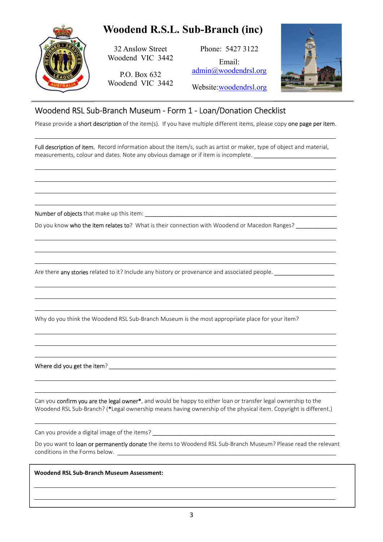

  $\ddot{\phantom{a}}$ 

 

 $\ddot{\phantom{a}}$   $\ddot{\phantom{a}}$ 

 

 

 l

32 Anslow Street Woodend VIC 3442

P.O. Box 632 Woodend VIC 3442

Phone: 5427 3122 Email: admin@woodendrsl.org Website:woodendrsl.org



## Woodend RSL Sub-Branch Museum - Form 1 - Loan/Donation Checklist

Please provide a short description of the item(s). If you have multiple different items, please copy one page per item.

Full description of item. Record information about the item/s, such as artist or maker, type of object and material, measurements, colour and dates. Note any obvious damage or if item is incomplete.

Number of objects that make up this item: \_\_\_\_\_\_\_\_\_\_\_\_\_\_\_\_\_\_\_\_\_\_\_\_\_\_\_\_\_\_\_\_\_\_\_\_\_\_\_\_\_\_\_\_\_\_\_\_\_\_\_\_\_\_\_\_\_\_\_\_\_

Do you know who the item relates to? What is their connection with Woodend or Macedon Ranges?

Are there any stories related to it? Include any history or provenance and associated people. \_\_\_\_\_\_\_\_\_\_\_\_\_\_\_\_

Why do you think the Woodend RSL Sub-Branch Museum is the most appropriate place for your item?

Where did you get the item? \_\_\_\_\_\_\_\_\_\_\_\_\_\_\_\_\_\_\_\_\_\_\_\_\_\_\_\_\_\_\_\_\_\_\_\_\_\_\_\_\_\_\_\_\_\_\_\_\_\_\_\_\_\_\_\_\_\_\_\_\_\_\_\_\_\_\_\_\_\_\_\_

Can you confirm you are the legal owner\*, and would be happy to either loan or transfer legal ownership to the Woodend RSL Sub-Branch? (\*Legal ownership means having ownership of the physical item. Copyright is different.)

Can you provide a digital image of the items? \_\_\_\_\_\_\_\_\_\_\_\_\_\_\_\_\_\_\_\_\_\_\_\_\_\_\_\_\_\_\_\_\_\_

Do you want to loan or permanently donate the items to Woodend RSL Sub-Branch Museum? Please read the relevant conditions in the Forms below.

Woodend RSL Sub-Branch Museum Assessment: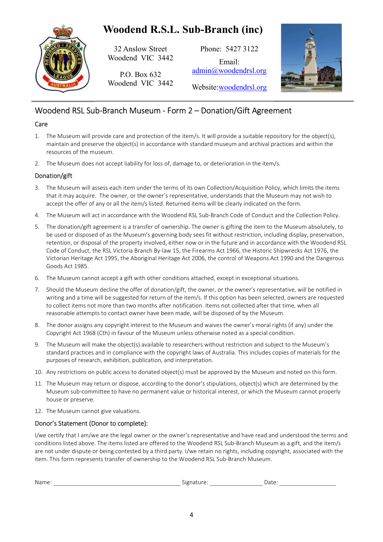

32 Anslow Street Woodend VIC 3442

P.O. Box 632 Woodend VIC 3442

Phone: 5427 3122 Email: admin@woodendrsl.org Website:woodendrsl.org



# Woodend RSL Sub-Branch Museum - Form 2 – Donation/Gift Agreement

#### Care

- 1. The Museum will provide care and protection of the item/s. It will provide a suitable repository for the object(s), maintain and preserve the object(s) in accordance with standard museum and archival practices and within the resources of the museum.
- 2. The Museum does not accept liability for loss of, damage to, or deterioration in the item/s.

### Donation/gift

- 3. The Museum will assess each item under the terms of its own Collection/Acquisition Policy, which limits the items that it may acquire. The owner, or the owner's representative, understands that the Museum may not wish to accept the offer of any or all the item/s listed. Returned items will be clearly indicated on the form.
- 4. The Museum will act in accordance with the Woodend RSL Sub-Branch Code of Conduct and the Collection Policy.
- 5. The donation/gift agreement is a transfer of ownership. The owner is gifting the item to the Museum absolutely, to be used or disposed of as the Museum's governing body sees fit without restriction, including display, preservation, retention, or disposal of the property involved, either now or in the future and in accordance with the Woodend RSL Code of Conduct, the RSL Victoria Branch By-law 15, the Firearms Act 1966, the Historic Shipwrecks Act 1976, the Victorian Heritage Act 1995, the Aboriginal Heritage Act 2006, the control of Weapons Act 1990 and the Dangerous Goods Act 1985.
- 6. The Museum cannot accept a gift with other conditions attached, except in exceptional situations.
- 7. Should the Museum decline the offer of donation/gift, the owner, or the owner's representative, will be notified in writing and a time will be suggested for return of the item/s. If this option has been selected, owners are requested to collect items not more than two months after notification. Items not collected after that time, when all reasonable attempts to contact owner have been made, will be disposed of by the Museum.
- 8. The donor assigns any copyright interest to the Museum and waives the owner's moral rights (if any) under the Copyright Act 1968 (Cth) in favour of the Museum unless otherwise noted as a special condition.
- 9. The Museum will make the object(s) available to researchers without restriction and subject to the Museum's standard practices and in compliance with the copyright laws of Australia. This includes copies of materials for the purposes of research, exhibition, publication, and interpretation.
- 10. Any restrictions on public access to donated object(s) must be approved by the Museum and noted on this form.
- 11. The Museum may return or dispose, according to the donor's stipulations, object(s) which are determined by the Museum sub-committee to have no permanent value or historical interest, or which the Museum cannot properly house or preserve.
- 12. The Museum cannot give valuations.

### Donor's Statement (Donor to complete):

I/we certify that I am/we are the legal owner or the owner's representative and have read and understood the terms and conditions listed above. The items listed are offered to the Woodend RSL Sub-Branch Museum as a gift, and the item/s are not under dispute or being contested by a third party. I/we retain no rights, including copyright, associated with the item. This form represents transfer of ownership to the Woodend RSL Sub-Branch Museum.

| Nar | $\sim$<br>. . | ,,<br>----- |
|-----|---------------|-------------|
|     |               |             |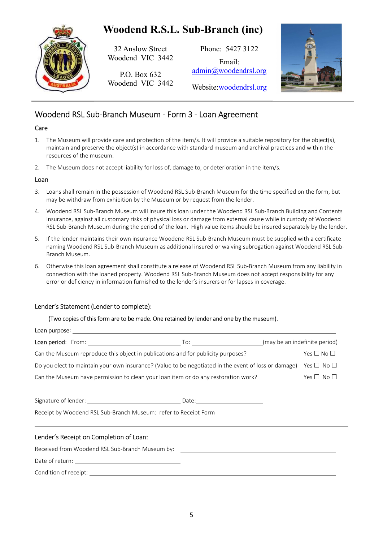

32 Anslow Street Woodend VIC 3442

P.O. Box 632 Woodend VIC 3442

Phone: 5427 3122 Email: admin@woodendrsl.org Website:woodendrsl.org



# Woodend RSL Sub-Branch Museum - Form 3 - Loan Agreement

### Care

- 1. The Museum will provide care and protection of the item/s. It will provide a suitable repository for the object(s), maintain and preserve the object(s) in accordance with standard museum and archival practices and within the resources of the museum.
- 2. The Museum does not accept liability for loss of, damage to, or deterioration in the item/s.

#### Loan

- 3. Loans shall remain in the possession of Woodend RSL Sub-Branch Museum for the time specified on the form, but may be withdraw from exhibition by the Museum or by request from the lender.
- 4. Woodend RSL Sub-Branch Museum will insure this loan under the Woodend RSL Sub-Branch Building and Contents Insurance, against all customary risks of physical loss or damage from external cause while in custody of Woodend RSL Sub-Branch Museum during the period of the loan. High value items should be insured separately by the lender.
- 5. If the lender maintains their own insurance Woodend RSL Sub-Branch Museum must be supplied with a certificate naming Woodend RSL Sub-Branch Museum as additional insured or waiving subrogation against Woodend RSL Sub-Branch Museum.
- 6. Otherwise this loan agreement shall constitute a release of Woodend RSL Sub-Branch Museum from any liability in connection with the loaned property. Woodend RSL Sub-Branch Museum does not accept responsibility for any error or deficiency in information furnished to the lender's insurers or for lapses in coverage.

### Lender's Statement (Lender to complete):

#### (Two copies of this form are to be made. One retained by lender and one by the museum).

| Loan purpose: _           |                                                                                                      |                            |
|---------------------------|------------------------------------------------------------------------------------------------------|----------------------------|
| <b>Loan period:</b> From: | (may be an indefinite period)<br>To:                                                                 |                            |
|                           | Can the Museum reproduce this object in publications and for publicity purposes?                     | Yes $\square$ No $\square$ |
|                           | Do you elect to maintain your own insurance? (Value to be negotiated in the event of loss or damage) | Yes $\Box$ No $\Box$       |
|                           | Can the Museum have permission to clean your loan item or do any restoration work?                   | Yes $\Box$ No $\Box$       |
| Signature of lender:      | Date:                                                                                                |                            |

Receipt by Woodend RSL Sub-Branch Museum: refer to Receipt Form

### Lender's Receipt on Completion of Loan:

Received from Woodend RSL Sub-Branch Museum by:

Date of return:

Condition of receipt: